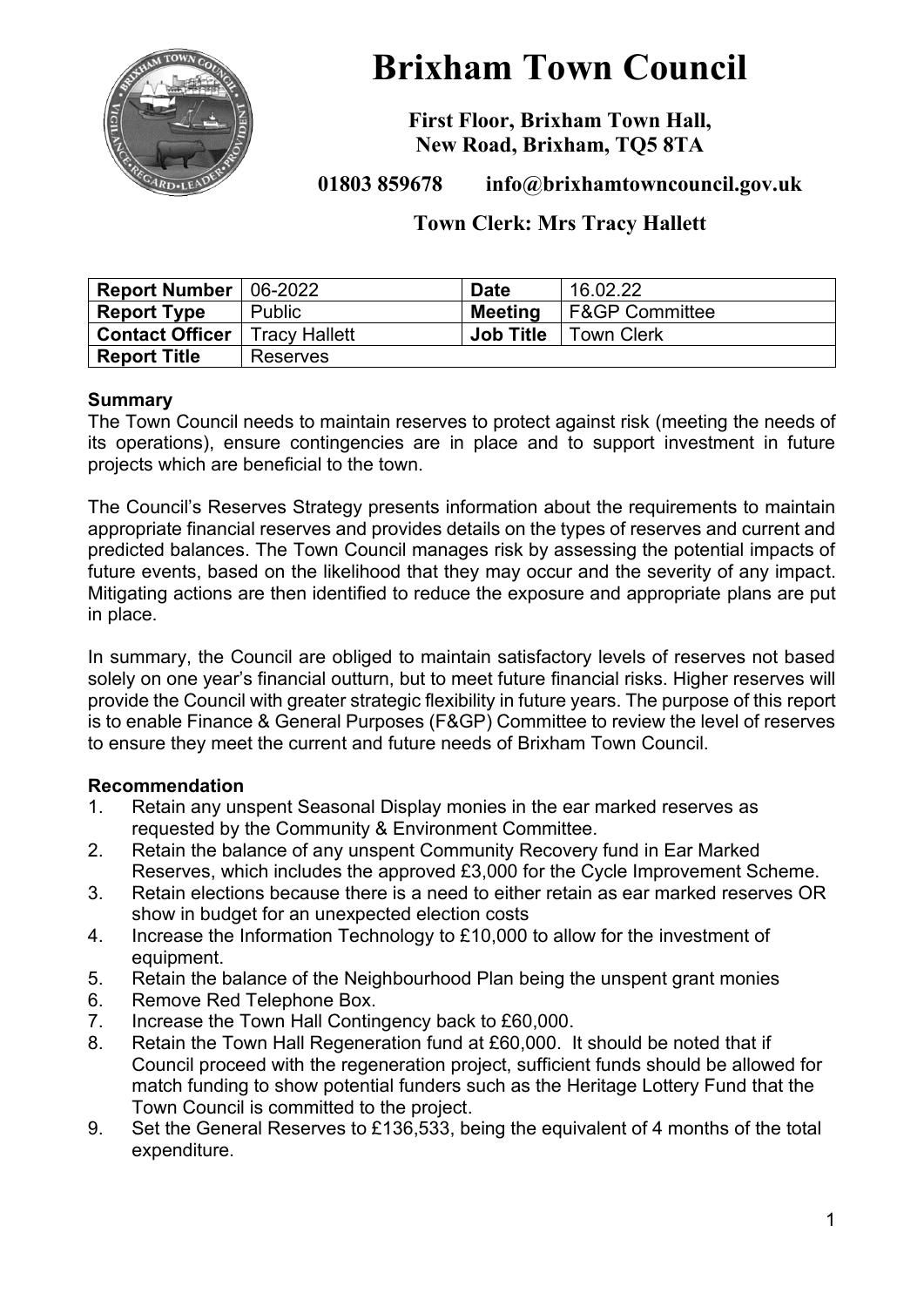

# **Brixham Town Council**

**First Floor, Brixham Town Hall, New Road, Brixham, TQ5 8TA**

**01803 859678 info@brixhamtowncouncil.gov.uk**

## **Town Clerk: Mrs Tracy Hallett**

| <b>Report Number</b>                   | $ 06-2022 $   | <b>Date</b>      | 16.02.22                  |
|----------------------------------------|---------------|------------------|---------------------------|
| <b>Report Type</b>                     | <b>Public</b> | Meeting          | <b>F&amp;GP Committee</b> |
| <b>Contact Officer</b>   Tracy Hallett |               | <b>Job Title</b> | <b>Town Clerk</b>         |
| <b>Report Title</b>                    | Reserves      |                  |                           |

#### **Summary**

The Town Council needs to maintain reserves to protect against risk (meeting the needs of its operations), ensure contingencies are in place and to support investment in future projects which are beneficial to the town.

The Council's Reserves Strategy presents information about the requirements to maintain appropriate financial reserves and provides details on the types of reserves and current and predicted balances. The Town Council manages risk by assessing the potential impacts of future events, based on the likelihood that they may occur and the severity of any impact. Mitigating actions are then identified to reduce the exposure and appropriate plans are put in place.

In summary, the Council are obliged to maintain satisfactory levels of reserves not based solely on one vear's financial outturn, but to meet future financial risks. Higher reserves will provide the Council with greater strategic flexibility in future years. The purpose of this report is to enable Finance & General Purposes (F&GP) Committee to review the level of reserves to ensure they meet the current and future needs of Brixham Town Council.

## **Recommendation**

- 1. Retain any unspent Seasonal Display monies in the ear marked reserves as requested by the Community & Environment Committee.
- 2. Retain the balance of any unspent Community Recovery fund in Ear Marked Reserves, which includes the approved £3,000 for the Cycle Improvement Scheme.
- 3. Retain elections because there is a need to either retain as ear marked reserves OR show in budget for an unexpected election costs
- 4. Increase the Information Technology to £10,000 to allow for the investment of equipment.
- 5. Retain the balance of the Neighbourhood Plan being the unspent grant monies
- 6. Remove Red Telephone Box.
- 7. Increase the Town Hall Contingency back to £60,000.
- 8. Retain the Town Hall Regeneration fund at £60,000. It should be noted that if Council proceed with the regeneration project, sufficient funds should be allowed for match funding to show potential funders such as the Heritage Lottery Fund that the Town Council is committed to the project.
- 9. Set the General Reserves to £136,533, being the equivalent of 4 months of the total expenditure.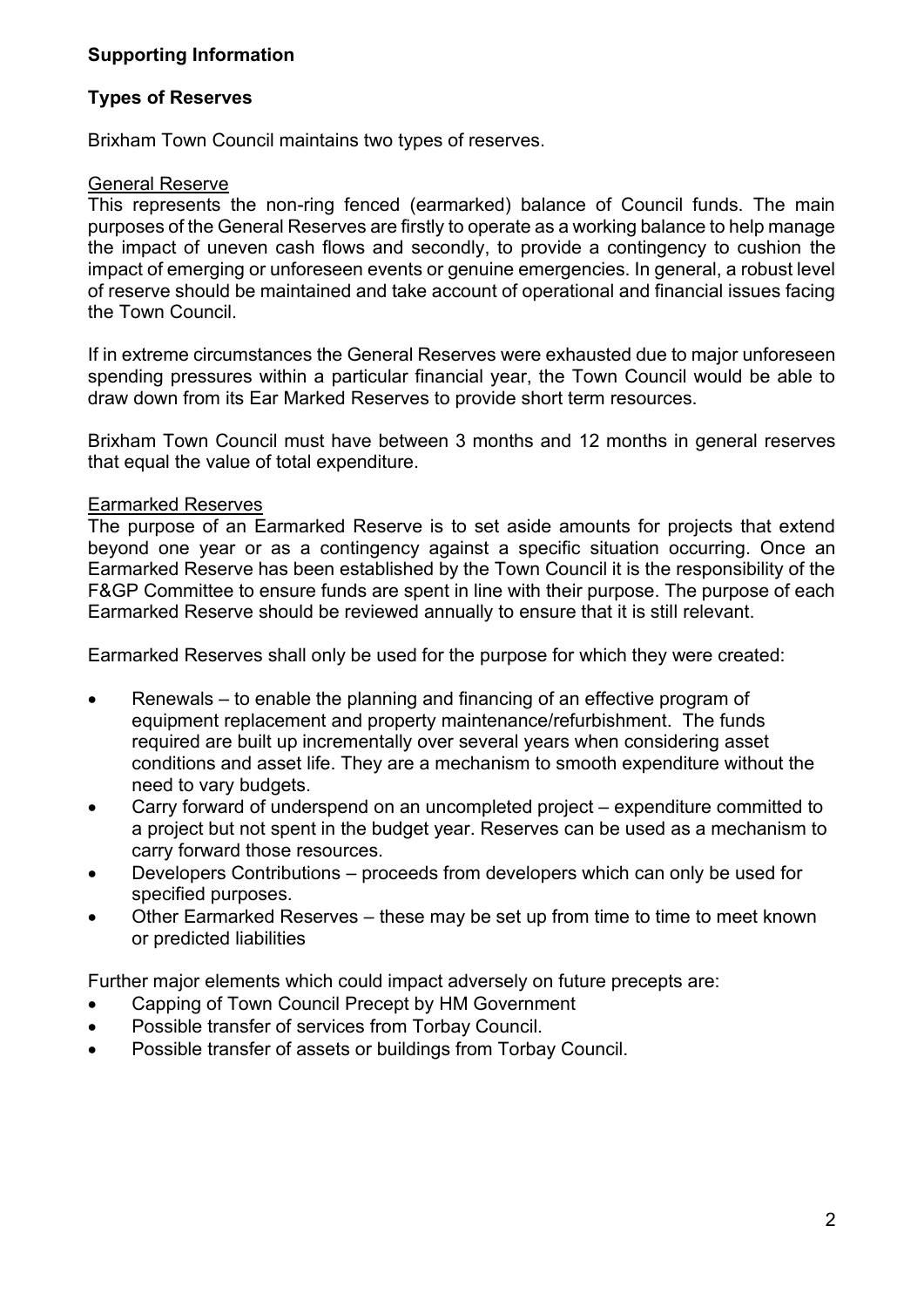## **Supporting Information**

#### **Types of Reserves**

Brixham Town Council maintains two types of reserves.

#### General Reserve

This represents the non-ring fenced (earmarked) balance of Council funds. The main purposes of the General Reserves are firstly to operate as a working balance to help manage the impact of uneven cash flows and secondly, to provide a contingency to cushion the impact of emerging or unforeseen events or genuine emergencies. In general, a robust level of reserve should be maintained and take account of operational and financial issues facing the Town Council.

If in extreme circumstances the General Reserves were exhausted due to major unforeseen spending pressures within a particular financial year, the Town Council would be able to draw down from its Ear Marked Reserves to provide short term resources.

Brixham Town Council must have between 3 months and 12 months in general reserves that equal the value of total expenditure.

#### Earmarked Reserves

The purpose of an Earmarked Reserve is to set aside amounts for projects that extend beyond one year or as a contingency against a specific situation occurring. Once an Earmarked Reserve has been established by the Town Council it is the responsibility of the F&GP Committee to ensure funds are spent in line with their purpose. The purpose of each Earmarked Reserve should be reviewed annually to ensure that it is still relevant.

Earmarked Reserves shall only be used for the purpose for which they were created:

- Renewals to enable the planning and financing of an effective program of equipment replacement and property maintenance/refurbishment. The funds required are built up incrementally over several years when considering asset conditions and asset life. They are a mechanism to smooth expenditure without the need to vary budgets.
- Carry forward of underspend on an uncompleted project expenditure committed to a project but not spent in the budget year. Reserves can be used as a mechanism to carry forward those resources.
- Developers Contributions proceeds from developers which can only be used for specified purposes.
- Other Earmarked Reserves these may be set up from time to time to meet known or predicted liabilities

Further major elements which could impact adversely on future precepts are:

- Capping of Town Council Precept by HM Government
- Possible transfer of services from Torbay Council.
- Possible transfer of assets or buildings from Torbay Council.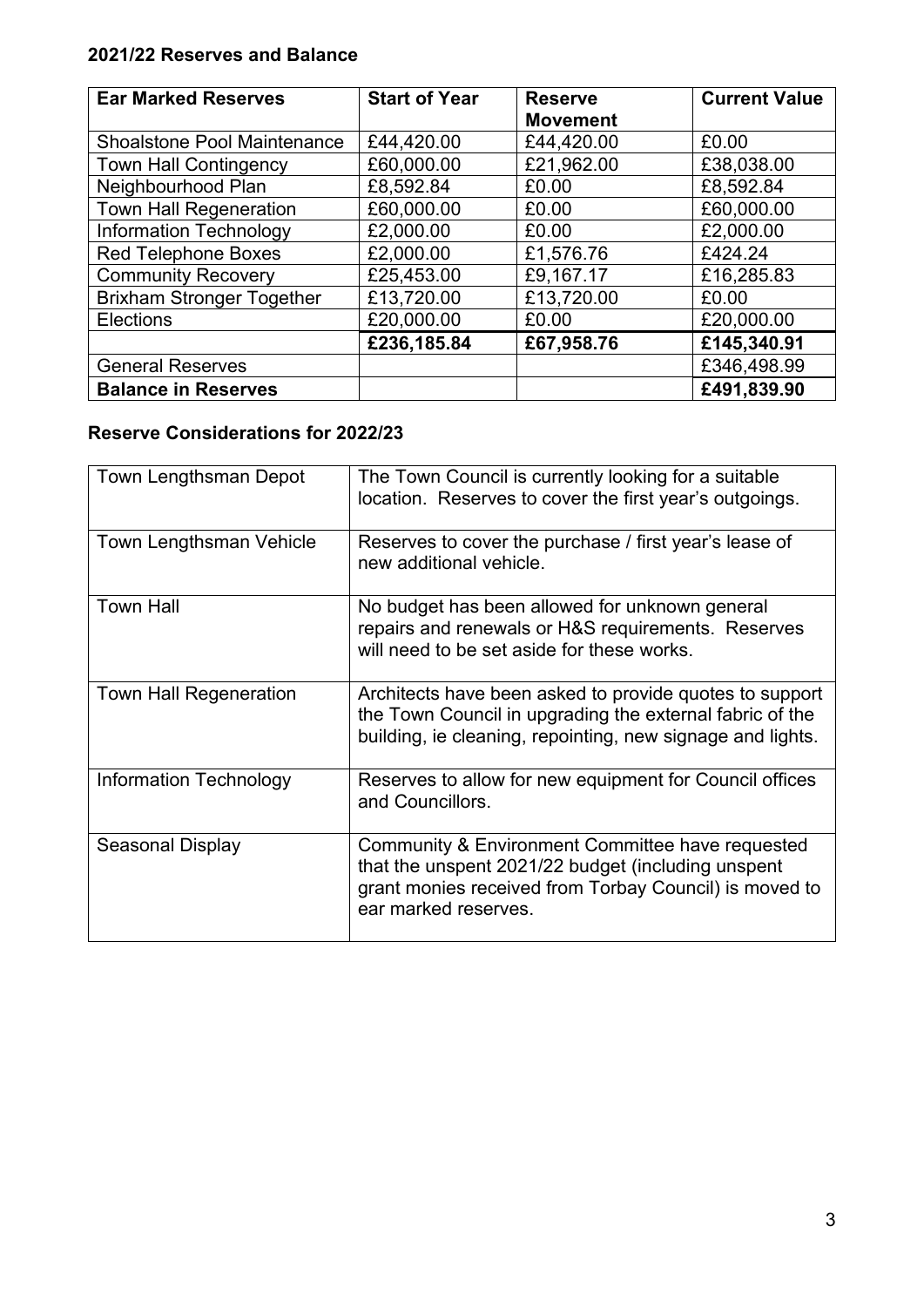## **2021/22 Reserves and Balance**

| <b>Ear Marked Reserves</b>         | <b>Start of Year</b> | <b>Reserve</b><br><b>Movement</b> | <b>Current Value</b> |
|------------------------------------|----------------------|-----------------------------------|----------------------|
| <b>Shoalstone Pool Maintenance</b> | £44,420.00           | £44,420.00                        | £0.00                |
| <b>Town Hall Contingency</b>       | £60,000.00           | £21,962.00                        | £38,038.00           |
| Neighbourhood Plan                 | £8,592.84            | £0.00                             | £8,592.84            |
| <b>Town Hall Regeneration</b>      | £60,000.00           | £0.00                             | £60,000.00           |
| <b>Information Technology</b>      | £2,000.00            | £0.00                             | £2,000.00            |
| <b>Red Telephone Boxes</b>         | £2,000.00            | £1,576.76                         | £424.24              |
| <b>Community Recovery</b>          | £25,453.00           | £9,167.17                         | £16,285.83           |
| <b>Brixham Stronger Together</b>   | £13,720.00           | £13,720.00                        | £0.00                |
| <b>Elections</b>                   | £20,000.00           | £0.00                             | £20,000.00           |
|                                    | £236,185.84          | £67,958.76                        | £145,340.91          |
| <b>General Reserves</b>            |                      |                                   | £346,498.99          |
| <b>Balance in Reserves</b>         |                      |                                   | £491,839.90          |

## **Reserve Considerations for 2022/23**

| Town Lengthsman Depot         | The Town Council is currently looking for a suitable<br>location. Reserves to cover the first year's outgoings.                                                                          |
|-------------------------------|------------------------------------------------------------------------------------------------------------------------------------------------------------------------------------------|
| Town Lengthsman Vehicle       | Reserves to cover the purchase / first year's lease of<br>new additional vehicle.                                                                                                        |
| <b>Town Hall</b>              | No budget has been allowed for unknown general<br>repairs and renewals or H&S requirements. Reserves<br>will need to be set aside for these works.                                       |
| <b>Town Hall Regeneration</b> | Architects have been asked to provide quotes to support<br>the Town Council in upgrading the external fabric of the<br>building, ie cleaning, repointing, new signage and lights.        |
| Information Technology        | Reserves to allow for new equipment for Council offices<br>and Councillors.                                                                                                              |
| Seasonal Display              | Community & Environment Committee have requested<br>that the unspent 2021/22 budget (including unspent<br>grant monies received from Torbay Council) is moved to<br>ear marked reserves. |